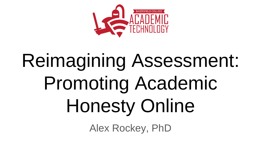

# Reimagining Assessment: Promoting Academic Honesty Online

Alex Rockey, PhD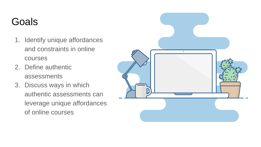## Goals

- 1. Identify unique affordances and constraints in online courses
- 2. Define authentic assessments
- 3. Discuss ways in which authentic assessments can leverage unique affordances of online courses

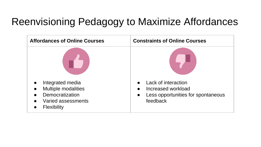## Reenvisioning Pedagogy to Maximize Affordances

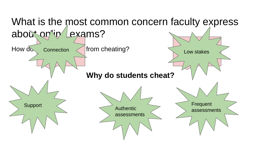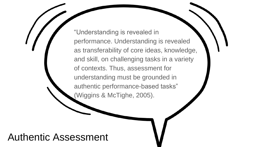"Understanding is revealed in performance. Understanding is revealed as transferability of core ideas, knowledge, and skill, on challenging tasks in a variety of contexts. Thus, assessment for understanding must be grounded in authentic performance-based tasks" (Wiggins & McTighe, 2005).

#### Authentic Assessment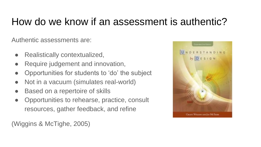## How do we know if an assessment is authentic?

Authentic assessments are:

- Realistically contextualized,
- Require judgement and innovation,
- Opportunities for students to 'do' the subject
- Not in a vacuum (simulates real-world)
- Based on a repertoire of skills
- Opportunities to rehearse, practice, consult resources, gather feedback, and refine

(Wiggins & McTighe, 2005)

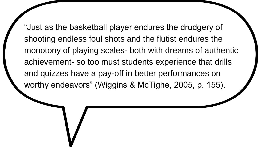"Just as the basketball player endures the drudgery of shooting endless foul shots and the flutist endures the monotony of playing scales- both with dreams of authentic achievement- so too must students experience that drills and quizzes have a pay-off in better performances on worthy endeavors" (Wiggins & McTighe, 2005, p. 155).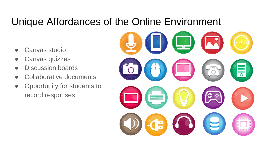#### Unique Affordances of the Online Environment

- Canvas studio
- Canvas quizzes
- Discussion boards
- Collaborative documents
- Opportunity for students to record responses

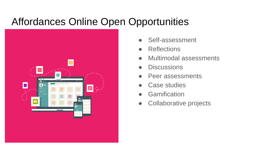#### Affordances Online Open Opportunities



- Self-assessment
- **Reflections**
- Multimodal assessments
- **Discussions**
- Peer assessments
- Case studies
- **Gamification**
- Collaborative projects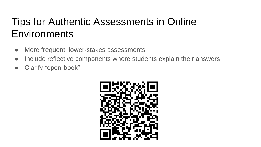# Tips for Authentic Assessments in Online **Environments**

- More frequent, lower-stakes assessments
- Include reflective components where students explain their answers
- Clarify "open-book"